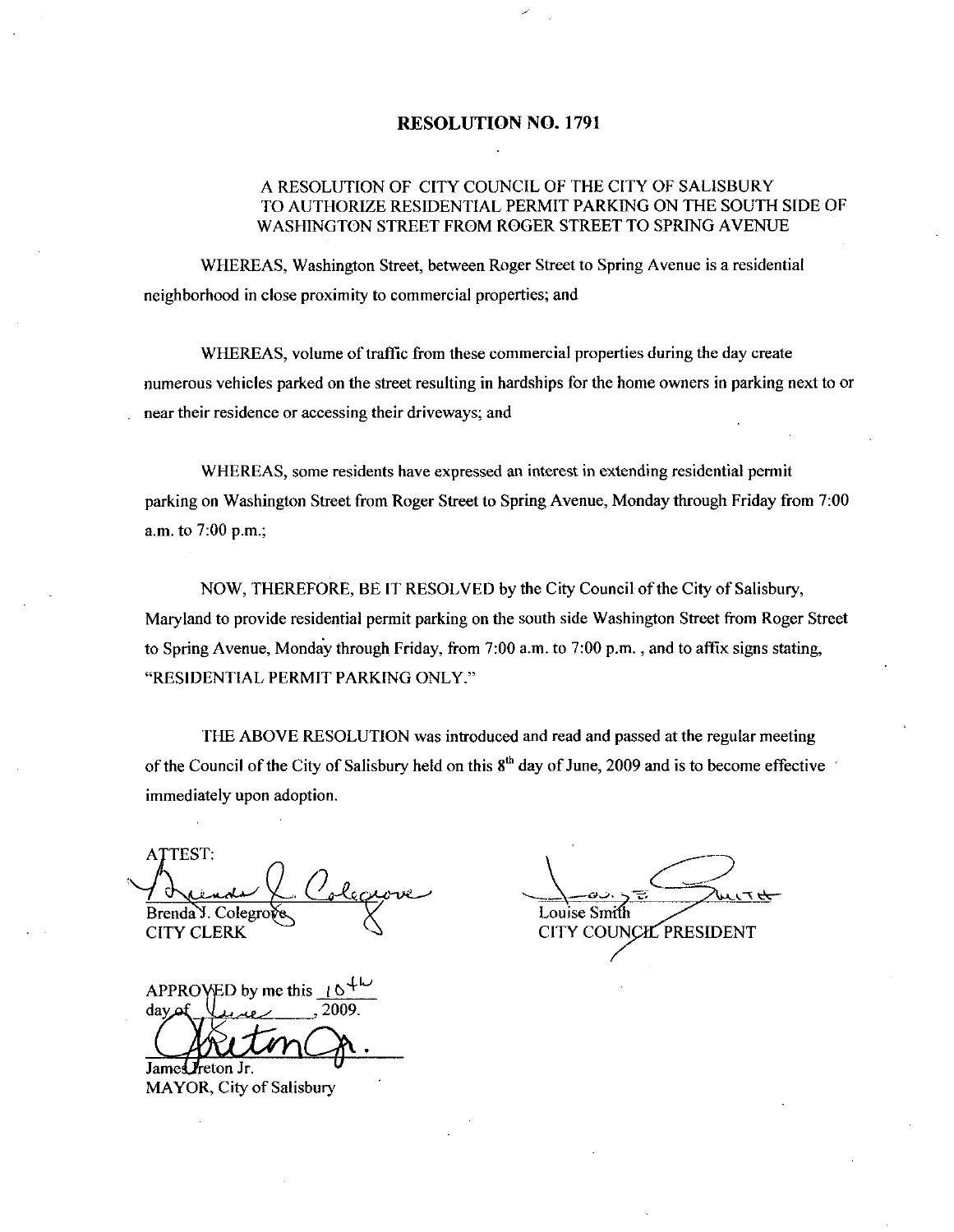#### RESOLUTION NO. 1791

#### A RESOLUTION OF CITY COUNCIL OF THE CITY OF SALISBURY TO AUTHORIZE RESIDENTIAL PERMIT PARKING ON THE SOUTH SIDE OF WASHINGTON STREET FROM ROGER STREET TO SPRING AVENUE

WHEREAS, Washington Street, between Roger Street to Spring Avenue is a residential neighborhood in close proximity to commercial properties; and

WHEREAS, volume of traffic from these commercial properties during the day create numerous vehicles parked on the street resulting in hardships for the home owners in parking next to or near their residence or accessing their driveways; and

WHEREAS, some residents have expressed an interest in extending residential permit WHEREAS, some residents have expressed an interest in extending residential permit<br>parking on Washington Street from Roger Street to Spring Avenue, Monday through Friday from 7:00 parking on Washin<br>a.m. to 7:00 p.m.;

NOW, THEREFORE, BE IT RESOLVED by the City Council of the City of Salisbury, Maryland to provide residential permit parking on the south side Washington Street from Roger Street<br>to Spring Avenue, Monday through Friday, from 7:00 a.m. to 7:00 p.m., and to affix signs stating, "RESIDENTIAL PERMIT PARKING ONLY."

THE ABOVE RESOLUTION was introduced and read and passed at the regular meeting of the Council of the City of Salisbury held on this  $8<sup>th</sup>$  day of June, 2009 and is to become effective immediately upon adoption

ATTEST: Brenda Y. Colegro **CITY CLERK** 

 $APPROVED$  by me this t  $day$   $\mu$ une  $2009$ 

James *I*reton Jr. MAYOR, City of Salisbury

Louise Smith 1 d read and passed at the regular<br>y of June, 2009 and is to become<br>Louise Smith<br>CITY COUNCIL PRESIDENT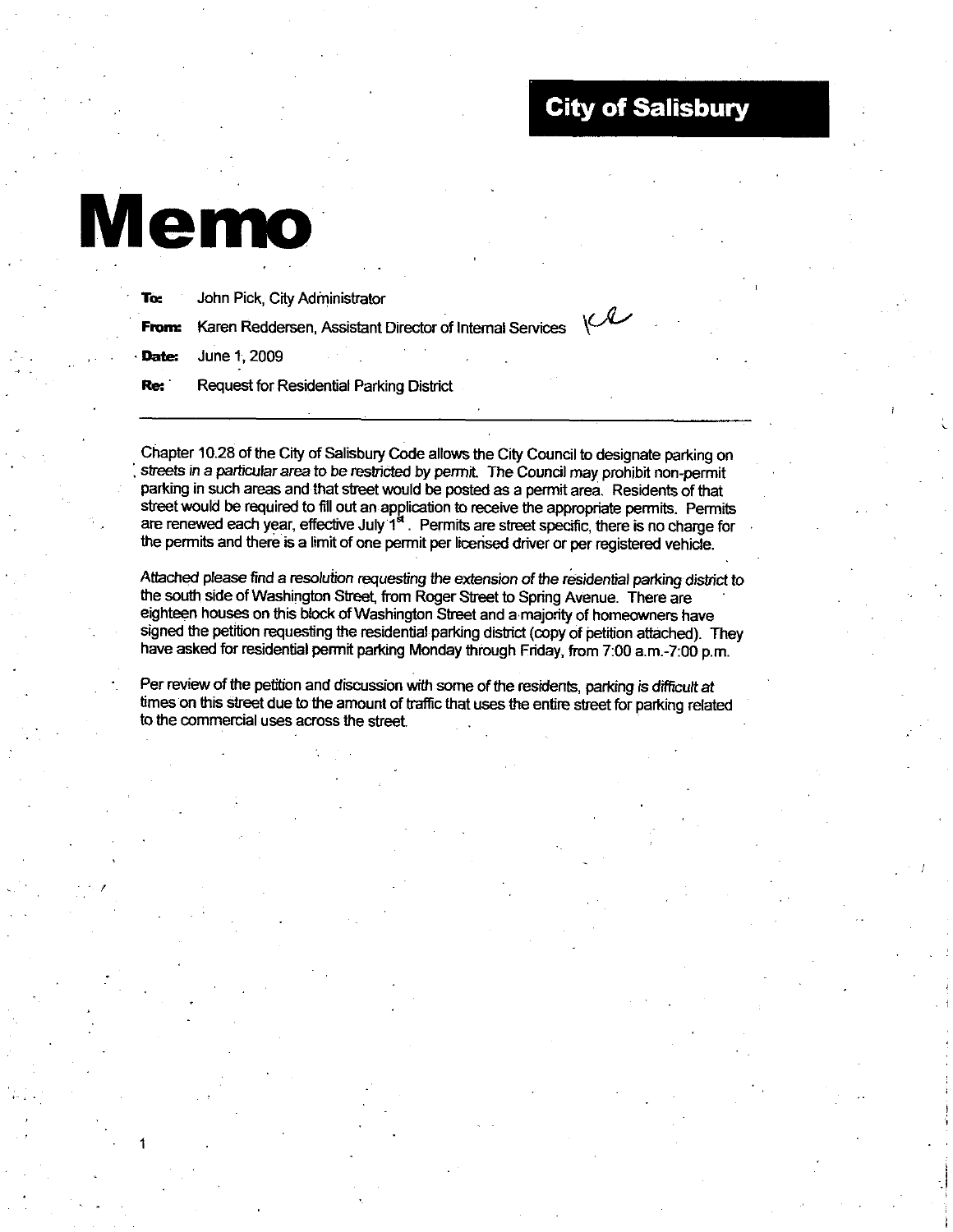### City of Salisbury

# Memo

1

| To:   | John Pick, City Administrator                                                        |  |  |  |  |
|-------|--------------------------------------------------------------------------------------|--|--|--|--|
|       | <b>From:</b> Karen Reddersen, Assistant Director of Internal Services $\binom{1}{x}$ |  |  |  |  |
|       | Date: June 1, 2009                                                                   |  |  |  |  |
| Re: ` | Request for Residential Parking District                                             |  |  |  |  |
|       |                                                                                      |  |  |  |  |

Chapter 10.28 of the City of Salisbury Code allows the City Council to designate parking on Chapter 10.28 of the City of Salisbury Code allows the City Council to designate parking of streets in a particular area to be restricted by permit. The Council may prohibit non-permit parking in such area and that street parking in such areas and that street would be posted as a permit area. Residents of that street would be required to fill out an application to receive the appropriate permits. Permits are renewed each year, effective July  $1<sup>st</sup>$ . Permits are street specific, there is no charge for the permits and there is a limit of one permit per licensed driver or per registered vehicle.

Attached please find aresolution requesting the extension of the residential parking disfict to the south side of Washington Street, from Roger Street to Spring Avenue. There are eighteen houses on this block of Washington Street and a majority of homeowners have signed the petition requesting the residential parking district (copy of petition attached). They have asked for residential permit parking Monday through Friday, from 7:00 a.m.-7:00 p.m.

Per review of the petition and discussion with some of the residents, parking is difficult at times on this street due to the amount of traffic that uses the entire street for parking related to the commercial uses across the street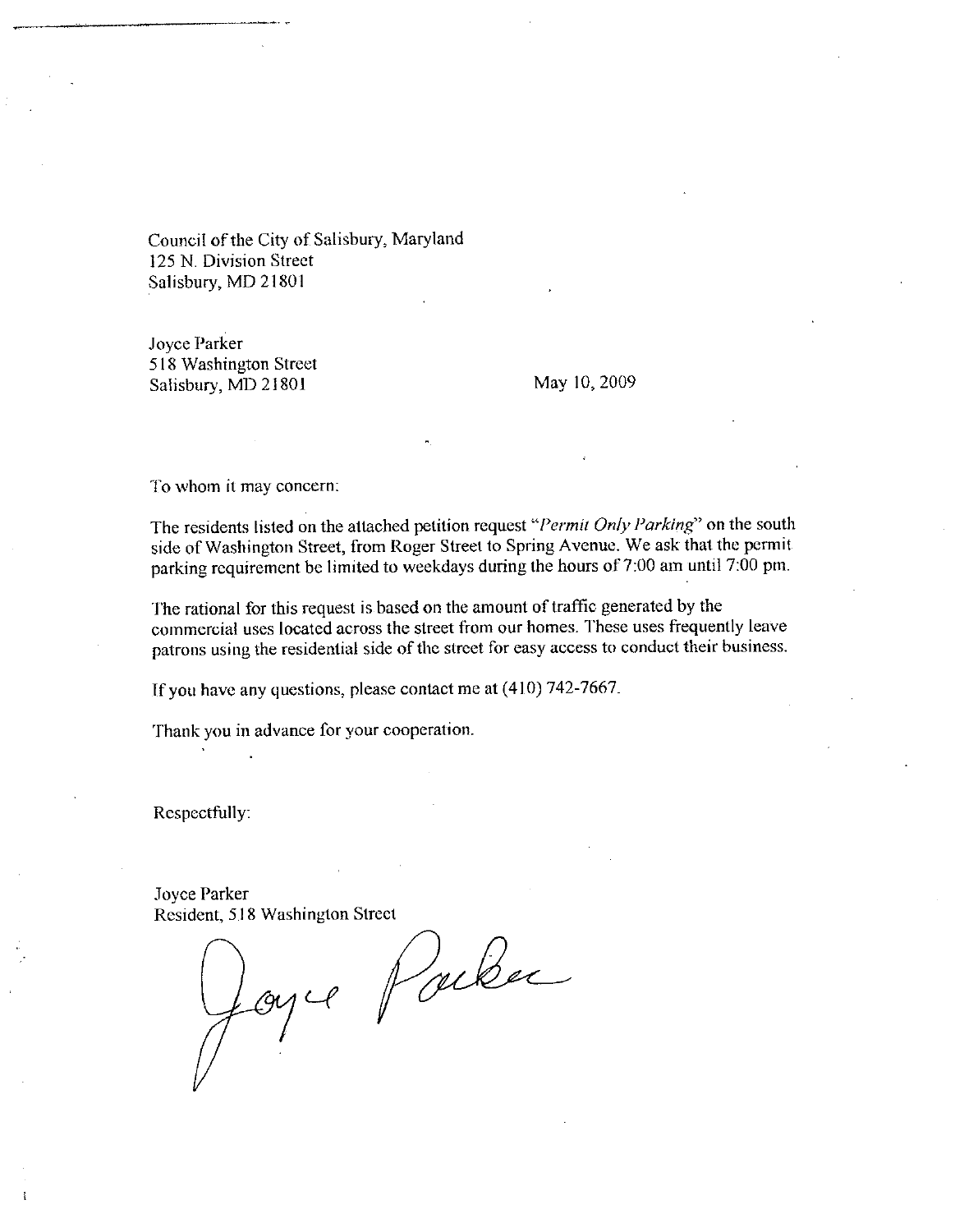Council of the City of Salisbury, Maryland 125 N. Division Street Salisbury, MD 21801

Joyce Parker 518 Washington Street Salisbury, MD 21801 May 10, 2009

To whom it may concern:

The residents listed on the attached petition request "*Permit Only Parking*" on the south side of Washington Street, from Roger Street to Spring Avenue. We ask that the permit parking requirement be limited to weekdays d side of Washington Street, from Roger Street to Spring Avenue. We ask that the permit The residents listed on the attached petition request "*Permit Only Parking*" on the soutl side of Washington Street, from Roger Street to Spring Avenue. We ask that the permit parking requirement be limited to weekdays du

The rational for this request is based on the amount of traffic generated by the commercial uses located across the street from our homes These uses frequently leave patrons using the residential side of the street for easy access to conduct their business.

If you have any questions, please contact me at  $(410)$  742-7667.

Thank you in advance for your cooperation

Respectfully

Joyce Parker Resident, 518 Washington Street

orker<br>1, 518 Washingto<br>2007 CP ear<br>Parker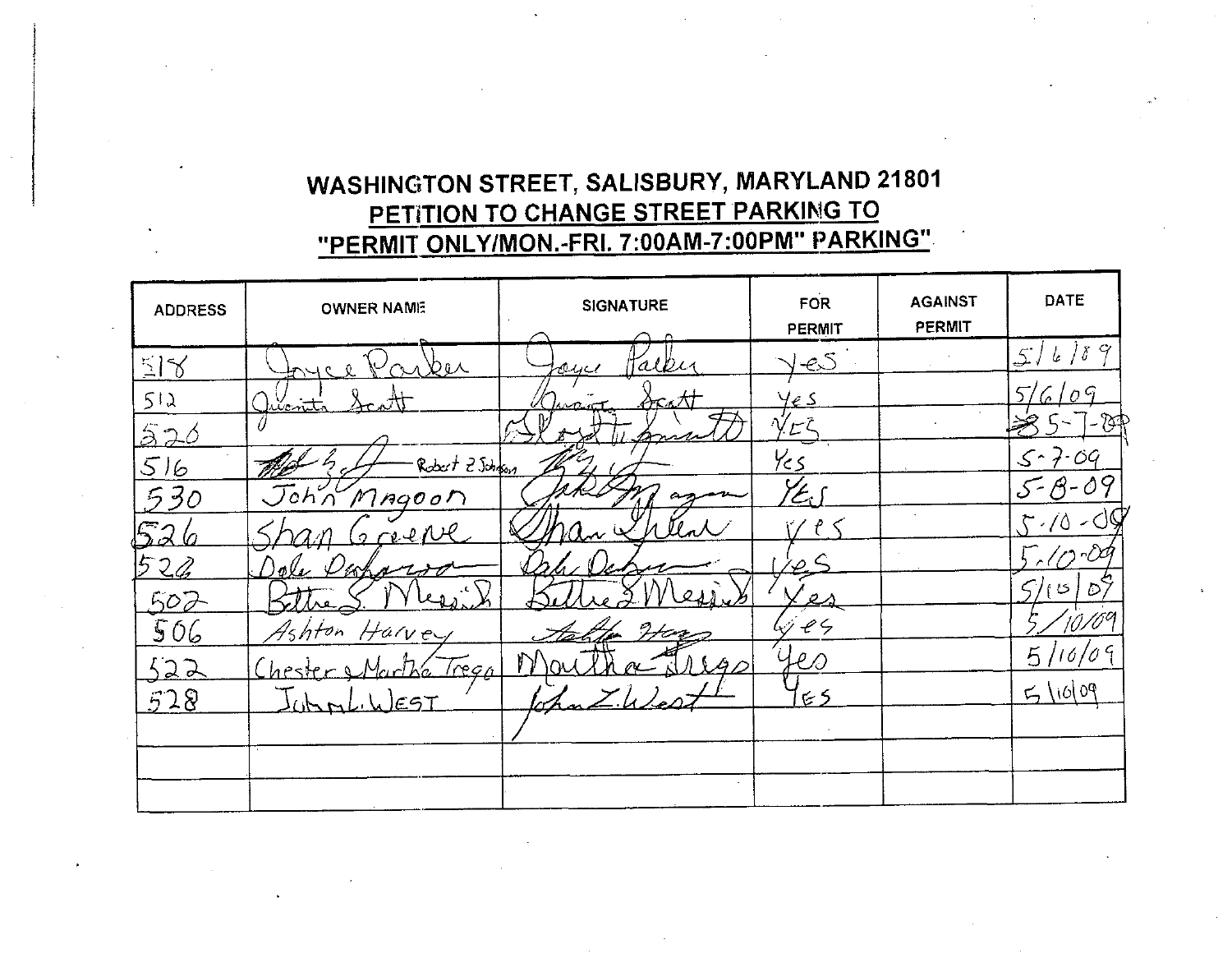## WASHINGTON STREET, SALISBURY, MARYLAND 21801 PETITION TO CHANGE STREET PARKING TO "PERMIT ONLY/MON.-FRI. 7:00AM-7:00PM" PARKING"

| <b>ADDRESS</b> | <b>OWNER NAME</b> | <b>SIGNATURE</b> | <b>FOR</b><br>PERMIT | <b>AGAINST</b><br><b>PERMIT</b> | DATE                               |
|----------------|-------------------|------------------|----------------------|---------------------------------|------------------------------------|
| 518            | ∖Ծն∧              | alle<br>ayer     | <u>J-es</u>          |                                 | 6789<br>$\mathcal{L}$ .            |
| 512            | <u>llentta</u>    | てィノ              | te s                 |                                 | $0^{\,G}$<br>57<br>$\sqrt{2}$      |
| 526            |                   |                  |                      |                                 | - 84                               |
| 516            | Robert 2 Johnson  |                  | Yes                  |                                 | $5 - 7$                            |
| $30^{\circ}$   | John MAGOON       |                  | $\mathscr{L}_\tau$   |                                 | $\langle \partial \varphi \rangle$ |
| متحتا          | evel              |                  |                      |                                 | 7.70                               |
|                | مملكاته           |                  | ╯                    |                                 |                                    |
| 502            |                   |                  |                      |                                 | .55<br> S                          |
| 506            | Harvey<br>4shton  |                  | e                    |                                 | 10/09                              |
| <u>522</u>     | regn)             |                  | 100                  |                                 | 5/16/09                            |
| 528            | EST<br>707        |                  | 55                   |                                 | 50/07                              |
|                |                   |                  |                      |                                 |                                    |
|                |                   |                  |                      |                                 |                                    |
|                |                   |                  |                      |                                 |                                    |